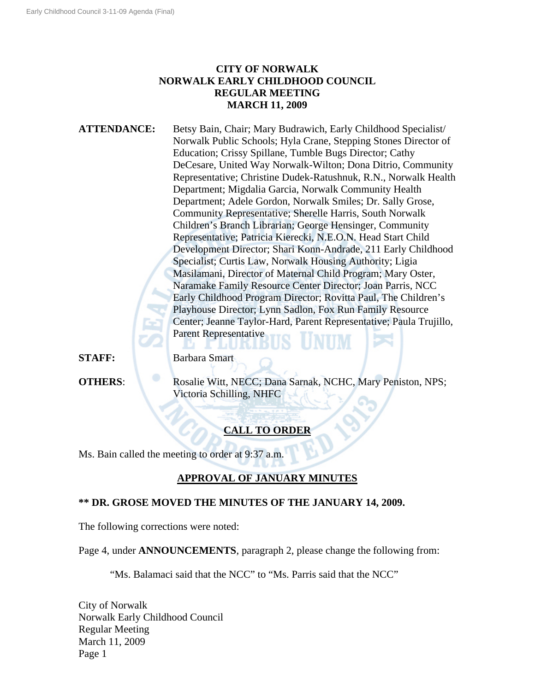## **CITY OF NORWALK NORWALK EARLY CHILDHOOD COUNCIL REGULAR MEETING MARCH 11, 2009**

**ATTENDANCE:** Betsy Bain, Chair; Mary Budrawich, Early Childhood Specialist/ Norwalk Public Schools; Hyla Crane, Stepping Stones Director of Education; Crissy Spillane, Tumble Bugs Director; Cathy DeCesare, United Way Norwalk-Wilton; Dona Ditrio, Community Representative; Christine Dudek-Ratushnuk, R.N., Norwalk Health Department; Migdalia Garcia, Norwalk Community Health Department; Adele Gordon, Norwalk Smiles; Dr. Sally Grose, Community Representative; Sherelle Harris, South Norwalk Children's Branch Librarian; George Hensinger, Community Representative; Patricia Kierecki, N.E.O.N. Head Start Child Development Director; Shari Konn-Andrade, 211 Early Childhood Specialist; Curtis Law, Norwalk Housing Authority; Ligia Masilamani, Director of Maternal Child Program; Mary Oster, Naramake Family Resource Center Director; Joan Parris, NCC Early Childhood Program Director; Rovitta Paul, The Children's Playhouse Director; Lynn Sadlon, Fox Run Family Resource Center; Jeanne Taylor-Hard, Parent Representative; Paula Trujillo, Parent Representative

**STAFF:** Barbara Smart

**OTHERS:** Rosalie Witt, NECC; Dana Sarnak, NCHC, Mary Peniston, NPS; Victoria Schilling, NHFC

# **CALL TO ORDER**

Ms. Bain called the meeting to order at 9:37 a.m.

## **APPROVAL OF JANUARY MINUTES**

### **\*\* DR. GROSE MOVED THE MINUTES OF THE JANUARY 14, 2009.**

LURU

The following corrections were noted:

Page 4, under **ANNOUNCEMENTS**, paragraph 2, please change the following from:

"Ms. Balamaci said that the NCC" to "Ms. Parris said that the NCC"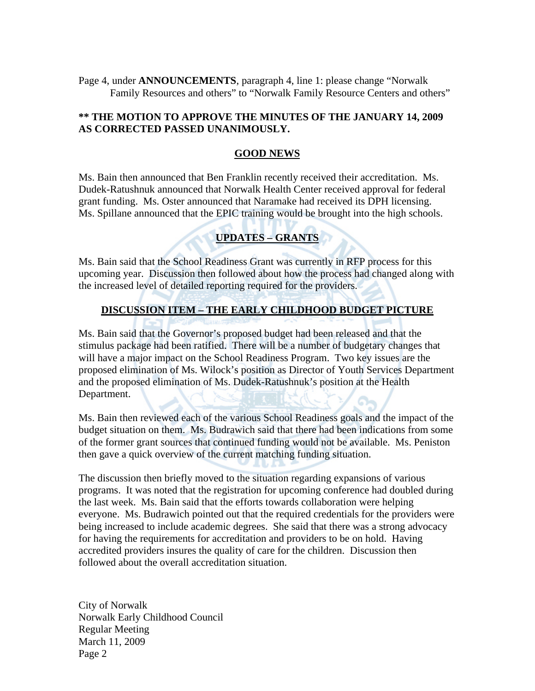Page 4, under **ANNOUNCEMENTS**, paragraph 4, line 1: please change "Norwalk Family Resources and others" to "Norwalk Family Resource Centers and others"

### **\*\* THE MOTION TO APPROVE THE MINUTES OF THE JANUARY 14, 2009 AS CORRECTED PASSED UNANIMOUSLY.**

#### **GOOD NEWS**

Ms. Bain then announced that Ben Franklin recently received their accreditation. Ms. Dudek-Ratushnuk announced that Norwalk Health Center received approval for federal grant funding. Ms. Oster announced that Naramake had received its DPH licensing. Ms. Spillane announced that the EPIC training would be brought into the high schools.

## **UPDATES – GRANTS**

Ms. Bain said that the School Readiness Grant was currently in RFP process for this upcoming year. Discussion then followed about how the process had changed along with the increased level of detailed reporting required for the providers.

#### **DISCUSSION ITEM – THE EARLY CHILDHOOD BUDGET PICTURE**

Ms. Bain said that the Governor's proposed budget had been released and that the stimulus package had been ratified. There will be a number of budgetary changes that will have a major impact on the School Readiness Program. Two key issues are the proposed elimination of Ms. Wilock's position as Director of Youth Services Department and the proposed elimination of Ms. Dudek-Ratushnuk's position at the Health Department.

Ms. Bain then reviewed each of the various School Readiness goals and the impact of the budget situation on them. Ms. Budrawich said that there had been indications from some of the former grant sources that continued funding would not be available. Ms. Peniston then gave a quick overview of the current matching funding situation.

The discussion then briefly moved to the situation regarding expansions of various programs. It was noted that the registration for upcoming conference had doubled during the last week. Ms. Bain said that the efforts towards collaboration were helping everyone. Ms. Budrawich pointed out that the required credentials for the providers were being increased to include academic degrees. She said that there was a strong advocacy for having the requirements for accreditation and providers to be on hold. Having accredited providers insures the quality of care for the children. Discussion then followed about the overall accreditation situation.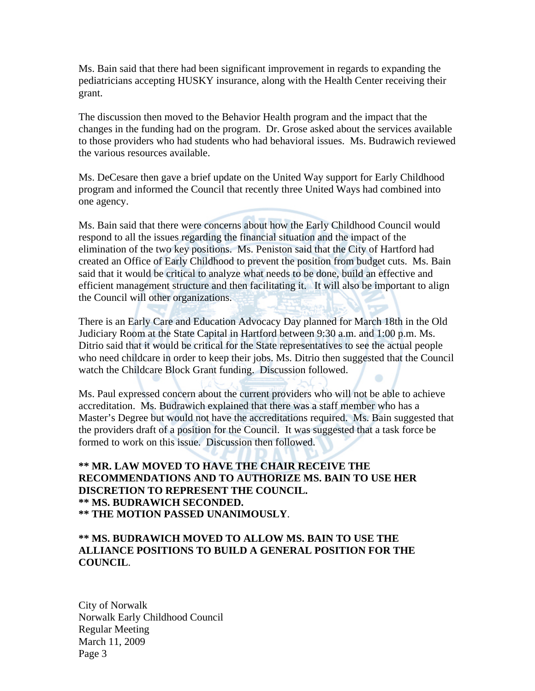Ms. Bain said that there had been significant improvement in regards to expanding the pediatricians accepting HUSKY insurance, along with the Health Center receiving their grant.

The discussion then moved to the Behavior Health program and the impact that the changes in the funding had on the program. Dr. Grose asked about the services available to those providers who had students who had behavioral issues. Ms. Budrawich reviewed the various resources available.

Ms. DeCesare then gave a brief update on the United Way support for Early Childhood program and informed the Council that recently three United Ways had combined into one agency.

Ms. Bain said that there were concerns about how the Early Childhood Council would respond to all the issues regarding the financial situation and the impact of the elimination of the two key positions. Ms. Peniston said that the City of Hartford had created an Office of Early Childhood to prevent the position from budget cuts. Ms. Bain said that it would be critical to analyze what needs to be done, build an effective and efficient management structure and then facilitating it. It will also be important to align the Council will other organizations.

There is an Early Care and Education Advocacy Day planned for March 18th in the Old Judiciary Room at the State Capital in Hartford between 9:30 a.m. and 1:00 p.m. Ms. Ditrio said that it would be critical for the State representatives to see the actual people who need childcare in order to keep their jobs. Ms. Ditrio then suggested that the Council watch the Childcare Block Grant funding. Discussion followed.

Ms. Paul expressed concern about the current providers who will not be able to achieve accreditation. Ms. Budrawich explained that there was a staff member who has a Master's Degree but would not have the accreditations required. Ms. Bain suggested that the providers draft of a position for the Council. It was suggested that a task force be formed to work on this issue. Discussion then followed.

#### **\*\* MR. LAW MOVED TO HAVE THE CHAIR RECEIVE THE RECOMMENDATIONS AND TO AUTHORIZE MS. BAIN TO USE HER DISCRETION TO REPRESENT THE COUNCIL. \*\* MS. BUDRAWICH SECONDED. \*\* THE MOTION PASSED UNANIMOUSLY**.

### **\*\* MS. BUDRAWICH MOVED TO ALLOW MS. BAIN TO USE THE ALLIANCE POSITIONS TO BUILD A GENERAL POSITION FOR THE COUNCIL**.